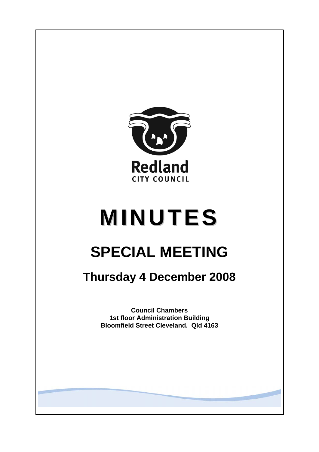

# **MINUTES**

# **SPECIAL MEETING**

## **Thursday 4 December 2008**

**Council Chambers 1st floor Administration Building Bloomfield Street Cleveland. Qld 4163**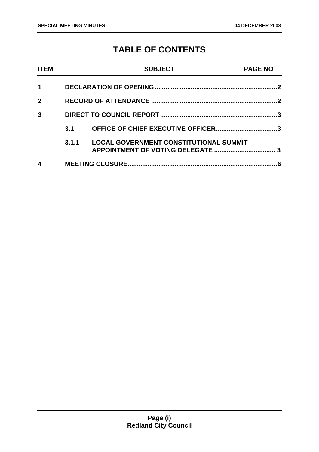### **TABLE OF CONTENTS**

| <b>ITEM</b>    |       | <b>SUBJECT</b>                                  | <b>PAGE NO</b> |
|----------------|-------|-------------------------------------------------|----------------|
| 1              |       |                                                 |                |
| $\overline{2}$ |       |                                                 |                |
| 3              |       |                                                 |                |
|                | 3.1   | OFFICE OF CHIEF EXECUTIVE OFFICER3              |                |
|                | 3.1.1 | <b>LOCAL GOVERNMENT CONSTITUTIONAL SUMMIT -</b> |                |
| 4              | 6     |                                                 |                |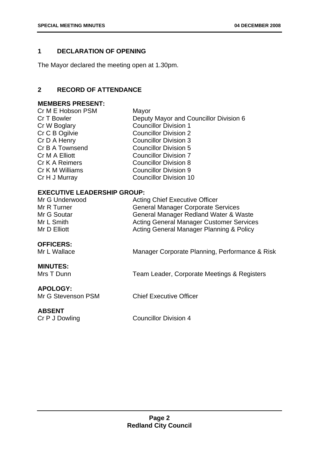#### <span id="page-2-0"></span>**1 DECLARATION OF OPENING**

The Mayor declared the meeting open at 1.30pm.

#### **2 RECORD OF ATTENDANCE**

#### **MEMBERS PRESENT:**

| Cr M E Hobson PSM | Mayor                                  |
|-------------------|----------------------------------------|
| Cr T Bowler       | Deputy Mayor and Councillor Division 6 |
| Cr W Boglary      | <b>Councillor Division 1</b>           |
| Cr C B Ogilvie    | <b>Councillor Division 2</b>           |
| Cr D A Henry      | <b>Councillor Division 3</b>           |
| Cr B A Townsend   | <b>Councillor Division 5</b>           |
| Cr M A Elliott    | <b>Councillor Division 7</b>           |
| Cr K A Reimers    | <b>Councillor Division 8</b>           |
| Cr K M Williams   | <b>Councillor Division 9</b>           |
| Cr H J Murray     | <b>Councillor Division 10</b>          |
|                   |                                        |

#### **EXECUTIVE LEADERSHIP GROUP:**

| Mr G Underwood     | <b>Acting Chief Executive Officer</b>           |
|--------------------|-------------------------------------------------|
| Mr R Turner        | <b>General Manager Corporate Services</b>       |
| Mr G Soutar        | General Manager Redland Water & Waste           |
| Mr L Smith         | <b>Acting General Manager Customer Services</b> |
| Mr D Elliott       | Acting General Manager Planning & Policy        |
| <b>OFFICERS:</b>   |                                                 |
| Mr L Wallace       | Manager Corporate Planning, Performance & Risk  |
|                    |                                                 |
| <b>MINUTES:</b>    |                                                 |
| Mrs T Dunn         | Team Leader, Corporate Meetings & Registers     |
|                    |                                                 |
| <b>APOLOGY:</b>    |                                                 |
| Mr G Stevenson PSM | <b>Chief Executive Officer</b>                  |
|                    |                                                 |
| <b>ABSENT</b>      |                                                 |
| Cr P J Dowling     | <b>Councillor Division 4</b>                    |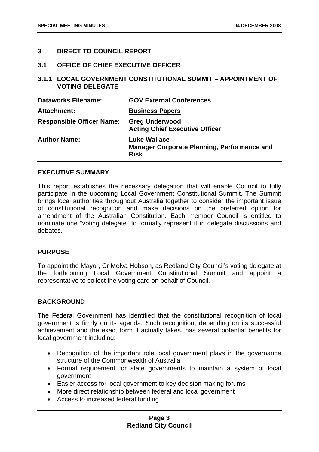#### <span id="page-3-0"></span>**3 DIRECT TO COUNCIL REPORT**

#### **3.1 OFFICE OF CHIEF EXECUTIVE OFFICER**

**3.1.1 LOCAL GOVERNMENT CONSTITUTIONAL SUMMIT – APPOINTMENT OF VOTING DELEGATE** 

| <b>Dataworks Filename:</b>       | <b>GOV External Conferences</b>                                                          |
|----------------------------------|------------------------------------------------------------------------------------------|
| Attachment:                      | <b>Business Papers</b>                                                                   |
| <b>Responsible Officer Name:</b> | <b>Greg Underwood</b><br><b>Acting Chief Executive Officer</b>                           |
| <b>Author Name:</b>              | <b>Luke Wallace</b><br><b>Manager Corporate Planning, Performance and</b><br><b>Risk</b> |

#### **EXECUTIVE SUMMARY**

This report establishes the necessary delegation that will enable Council to fully participate in the upcoming Local Government Constitutional Summit. The Summit brings local authorities throughout Australia together to consider the important issue of constitutional recognition and make decisions on the preferred option for amendment of the Australian Constitution. Each member Council is entitled to nominate one "voting delegate" to formally represent it in delegate discussions and debates.

#### **PURPOSE**

To appoint the Mayor, Cr Melva Hobson, as Redland City Council's voting delegate at the forthcoming Local Government Constitutional Summit and appoint a representative to collect the voting card on behalf of Council.

#### **BACKGROUND**

The Federal Government has identified that the constitutional recognition of local government is firmly on its agenda. Such recognition, depending on its successful achievement and the exact form it actually takes, has several potential benefits for local government including:

- Recognition of the important role local government plays in the governance structure of the Commonwealth of Australia
- Formal requirement for state governments to maintain a system of local government
- Easier access for local government to key decision making forums
- More direct relationship between federal and local government
- Access to increased federal funding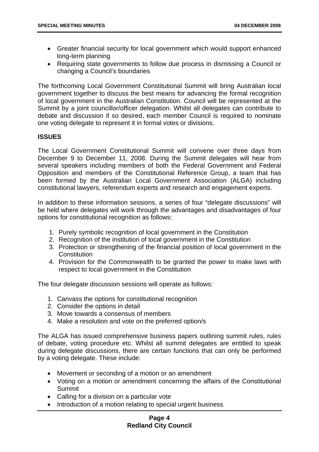- Greater financial security for local government which would support enhanced long-term planning
- Requiring state governments to follow due process in dismissing a Council or changing a Council's boundaries

The forthcoming Local Government Constitutional Summit will bring Australian local government together to discuss the best means for advancing the formal recognition of local government in the Australian Constitution. Council will be represented at the Summit by a joint councillor/officer delegation. Whilst all delegates can contribute to debate and discussion if so desired, each member Council is required to nominate one voting delegate to represent it in formal votes or divisions.

#### **ISSUES**

The Local Government Constitutional Summit will convene over three days from December 9 to December 11, 2008. During the Summit delegates will hear from several speakers including members of both the Federal Government and Federal Opposition and members of the Constitutional Reference Group, a team that has been formed by the Australian Local Government Association (ALGA) including constitutional lawyers, referendum experts and research and engagement experts.

In addition to these information sessions, a series of four "delegate discussions" will be held where delegates will work through the advantages and disadvantages of four options for constitutional recognition as follows:

- 1. Purely symbolic recognition of local government in the Constitution
- 2. Recognition of the institution of local government in the Constitution
- 3. Protection or strengthening of the financial position of local government in the **Constitution**
- 4. Provision for the Commonwealth to be granted the power to make laws with respect to local government in the Constitution

The four delegate discussion sessions will operate as follows:

- 1. Canvass the options for constitutional recognition
- 2. Consider the options in detail
- 3. Move towards a consensus of members
- 4. Make a resolution and vote on the preferred option/s

The ALGA has issued comprehensive business papers outlining summit rules, rules of debate, voting procedure etc. Whilst all summit delegates are entitled to speak during delegate discussions, there are certain functions that can only be performed by a voting delegate. These include:

- Movement or seconding of a motion or an amendment
- Voting on a motion or amendment concerning the affairs of the Constitutional Summit
- Calling for a division on a particular vote
- Introduction of a motion relating to special urgent business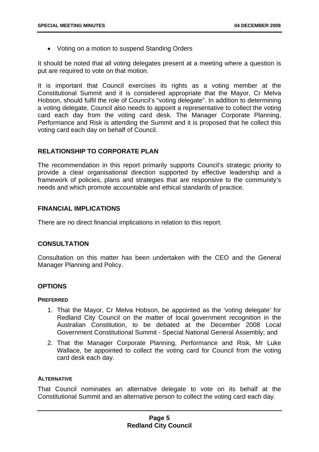• Voting on a motion to suspend Standing Orders

It should be noted that all voting delegates present at a meeting where a question is put are required to vote on that motion.

It is important that Council exercises its rights as a voting member at the Constitutional Summit and it is considered appropriate that the Mayor, Cr Melva Hobson, should fulfil the role of Council's "voting delegate". In addition to determining a voting delegate, Council also needs to appoint a representative to collect the voting card each day from the voting card desk. The Manager Corporate Planning, Performance and Risk is attending the Summit and it is proposed that he collect this voting card each day on behalf of Council.

#### **RELATIONSHIP TO CORPORATE PLAN**

The recommendation in this report primarily supports Council's strategic priority to provide a clear organisational direction supported by effective leadership and a framework of policies, plans and strategies that are responsive to the community's needs and which promote accountable and ethical standards of practice.

#### **FINANCIAL IMPLICATIONS**

There are no direct financial implications in relation to this report.

#### **CONSULTATION**

Consultation on this matter has been undertaken with the CEO and the General Manager Planning and Policy.

#### **OPTIONS**

#### **PREFERRED**

- 1. That the Mayor, Cr Melva Hobson, be appointed as the 'voting delegate' for Redland City Council on the matter of local government recognition in the Australian Constitution, to be debated at the December 2008 Local Government Constitutional Summit - Special National General Assembly; and
- 2. That the Manager Corporate Planning, Performance and Risk, Mr Luke Wallace, be appointed to collect the voting card for Council from the voting card desk each day.

#### **ALTERNATIVE**

That Council nominates an alternative delegate to vote on its behalf at the Constitutional Summit and an alternative person to collect the voting card each day.